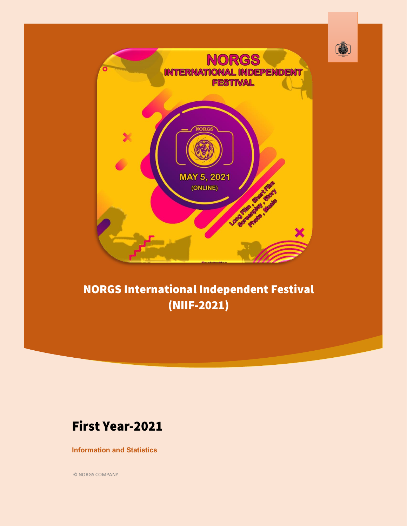

## **NORGS International Independent Festival** (NIIF-2021)

### **First Year-2021**

#### **Information and Statistics**

© NORGS COMPANY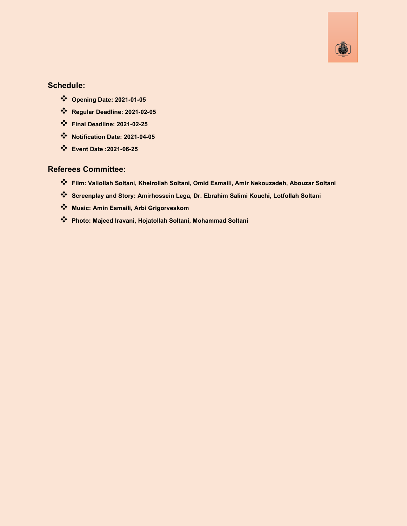

#### **Schedule:**

- ❖ **Opening Date: 2021-01-05**
- ❖ **Regular Deadline: 2021-02-05**
- ❖ **Final Deadline: 2021-02-25**
- ❖ **Notification Date: 2021-04-05**
- ❖ **Event Date :2021-06-25**

#### **Referees Committee:**

- ❖ **Film: Valiollah Soltani, Kheirollah Soltani, Omid Esmaili, Amir Nekouzadeh, Abouzar Soltani**
- ❖ **Screenplay and Story: Amirhossein Lega, Dr. Ebrahim Salimi Kouchi, Lotfollah Soltani**
- ❖ **Music: Amin Esmaili, Arbi Grigorveskom**
- ❖ **Photo: Majeed Iravani, Hojatollah Soltani, Mohammad Soltani**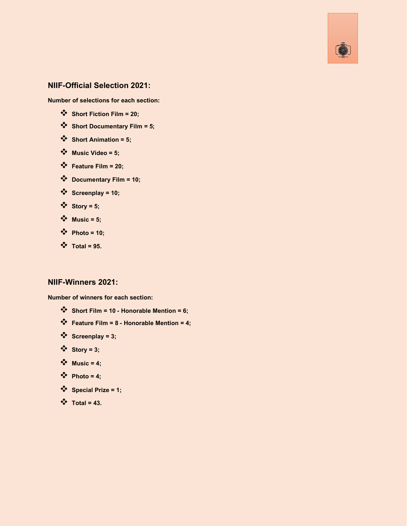

#### **NIIF-Official Selection 2021:**

**Number of selections for each section:**

- ❖ **Short Fiction Film =20;**
- ❖ **Short Documentary Film = 5;**
- ❖ **Short Animation = 5;**
- ❖ **Music Video = 5;**
- ❖ **Feature Film = 20;**
- ❖ **Documentary Film = 10;**
- ❖ **Screenplay = 10;**
- ❖ **Story = 5;**
- ❖ **Music = 5;**
- ❖ **Photo = 10;**
- ❖ **Total = 95.**

#### **NIIF-Winners 2021:**

**Number of winners for each section:**

- ❖ **Short Film =10- Honorable Mention= 6;**
- ❖ **Feature Film = 8- Honorable Mention= 4;**
- ❖ **Screenplay = 3;**
- ❖ **Story = 3;**
- $\sqrt{\phantom{a}}$  **Music = 4;**
- $\mathbf{\hat{*}}$  **Photo = 4;**
- ❖ **Special Prize = 1;**
- ❖ **Total = 43.**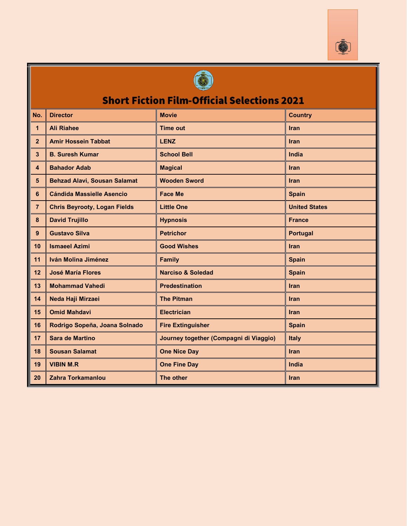



### **Short Fiction Film-Official Selections 2021**

| No.                     | <b>Director</b>                                                          | <b>Movie</b><br><b>Country</b>         |                      |
|-------------------------|--------------------------------------------------------------------------|----------------------------------------|----------------------|
| 1                       | <b>Ali Riahee</b>                                                        | <b>Time out</b>                        | <b>Iran</b>          |
| $\overline{2}$          | <b>Amir Hossein Tabbat</b>                                               | <b>LENZ</b><br><b>Iran</b>             |                      |
| $\overline{\mathbf{3}}$ | <b>B. Suresh Kumar</b>                                                   | <b>School Bell</b>                     | <b>India</b>         |
| $\overline{\mathbf{4}}$ | <b>Bahador Adab</b>                                                      | <b>Magical</b>                         | Iran                 |
| $5\phantom{.0}$         | <b>Behzad Alavi, Sousan Salamat</b>                                      | <b>Wooden Sword</b>                    | <b>Iran</b>          |
| 6                       | <b>Cándida Massielle Asencio</b>                                         | <b>Face Me</b>                         | <b>Spain</b>         |
| $\overline{7}$          | <b>Chris Beyrooty, Logan Fields</b>                                      | <b>Little One</b>                      | <b>United States</b> |
| 8                       | <b>David Trujillo</b>                                                    | <b>Hypnosis</b>                        | <b>France</b>        |
| 9                       | <b>Gustavo Silva</b>                                                     | <b>Petrichor</b>                       | <b>Portugal</b>      |
| 10                      | <b>Ismaeel Azimi</b>                                                     | <b>Good Wishes</b>                     | Iran                 |
| 11                      | Iván Molina Jiménez                                                      | <b>Family</b>                          | <b>Spain</b>         |
| 12                      | <b>José María Flores</b><br><b>Narciso &amp; Soledad</b><br><b>Spain</b> |                                        |                      |
| 13                      | <b>Mohammad Vahedi</b>                                                   | <b>Predestination</b>                  | <b>Iran</b>          |
| 14                      | Neda Haji Mirzaei                                                        | <b>The Pitman</b>                      | <b>Iran</b>          |
| 15                      | <b>Omid Mahdavi</b>                                                      | <b>Electrician</b>                     | <b>Iran</b>          |
| 16                      | Rodrigo Sopeña, Joana Solnado                                            | <b>Fire Extinguisher</b>               | <b>Spain</b>         |
| 17                      | <b>Sara de Martino</b>                                                   | Journey together (Compagni di Viaggio) | <b>Italy</b>         |
| 18                      | <b>Sousan Salamat</b>                                                    | <b>One Nice Day</b>                    | Iran                 |
| 19                      | <b>VIBIN M.R</b>                                                         | <b>One Fine Day</b>                    | India                |
| 20                      | <b>Zahra Torkamanlou</b>                                                 | The other                              | <b>Iran</b>          |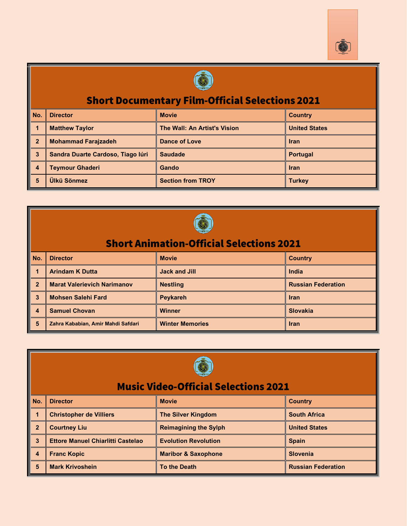



## **Short Documentary Film-Official Selections 2021**

| No. | <b>Director</b>                   | <b>Movie</b>                 | <b>Country</b>       |
|-----|-----------------------------------|------------------------------|----------------------|
|     | <b>Matthew Taylor</b>             | The Wall: An Artist's Vision | <b>United States</b> |
|     | <b>Mohammad Farajzadeh</b>        | Dance of Love                | <b>Iran</b>          |
|     | Sandra Duarte Cardoso, Tiago lúri | <b>Saudade</b>               | <b>Portugal</b>      |
|     | <b>Teymour Ghaderi</b>            | Gando                        | <b>Iran</b>          |
| 5   | Ülkü Sönmez                       | <b>Section from TROY</b>     | <b>Turkey</b>        |



|                | $\frac{1}{\sqrt{2}}$                              |                        |                           |  |  |  |
|----------------|---------------------------------------------------|------------------------|---------------------------|--|--|--|
|                | <b>Short Animation-Official Selections 2021</b>   |                        |                           |  |  |  |
| No.            | <b>Director</b><br><b>Movie</b><br><b>Country</b> |                        |                           |  |  |  |
|                | <b>Arindam K Dutta</b>                            | <b>Jack and Jill</b>   | India                     |  |  |  |
| $\overline{2}$ | <b>Marat Valerievich Narimanov</b>                | <b>Nestling</b>        | <b>Russian Federation</b> |  |  |  |
| 3              | <b>Mohsen Salehi Fard</b>                         | <b>Peykareh</b>        | <b>Iran</b>               |  |  |  |
| 4              | <b>Samuel Chovan</b>                              | <b>Winner</b>          | <b>Slovakia</b>           |  |  |  |
| 5              | Zahra Kababian, Amir Mahdi Safdari                | <b>Winter Memories</b> | <b>Iran</b>               |  |  |  |



#### **Music Video-Official Selections 2021**

| No. | <b>Director</b>                          | <b>Movie</b>                   | <b>Country</b>            |
|-----|------------------------------------------|--------------------------------|---------------------------|
|     | <b>Christopher de Villiers</b>           | <b>The Silver Kingdom</b>      | <b>South Africa</b>       |
|     | <b>Courtney Liu</b>                      | <b>Reimagining the Sylph</b>   | <b>United States</b>      |
| 3   | <b>Ettore Manuel Chiarlitti Castelao</b> | <b>Evolution Revolution</b>    | <b>Spain</b>              |
|     | <b>Franc Kopic</b>                       | <b>Maribor &amp; Saxophone</b> | <b>Slovenia</b>           |
| 5   | <b>Mark Krivoshein</b>                   | <b>To the Death</b>            | <b>Russian Federation</b> |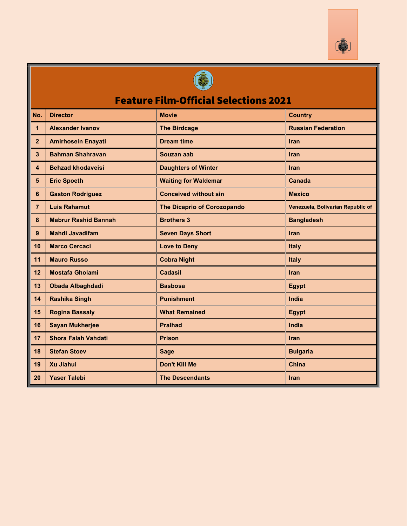



# **Feature Film-Official Selections 2021**

| No.             | <b>Director</b>             | <b>Movie</b>                 | <b>Country</b>                    |
|-----------------|-----------------------------|------------------------------|-----------------------------------|
| $\mathbf{1}$    | <b>Alexander Ivanov</b>     | <b>The Birdcage</b>          | <b>Russian Federation</b>         |
| $\overline{2}$  | <b>Amirhosein Enayati</b>   | <b>Dream time</b>            | <b>Iran</b>                       |
| $\mathbf{3}$    | <b>Bahman Shahravan</b>     | Souzan aab                   | <b>Iran</b>                       |
| 4               | <b>Behzad khodaveisi</b>    | <b>Daughters of Winter</b>   | Iran                              |
| $5\phantom{.0}$ | <b>Eric Spoeth</b>          | <b>Waiting for Waldemar</b>  | <b>Canada</b>                     |
| 6               | <b>Gaston Rodriguez</b>     | <b>Conceived without sin</b> | <b>Mexico</b>                     |
| $\overline{7}$  | <b>Luis Rahamut</b>         | The Dicaprio of Corozopando  | Venezuela, Bolivarian Republic of |
| 8               | <b>Mabrur Rashid Bannah</b> | <b>Brothers 3</b>            | <b>Bangladesh</b>                 |
| 9               | <b>Mahdi Javadifam</b>      | <b>Seven Days Short</b>      | <b>Iran</b>                       |
| 10              | <b>Marco Cercaci</b>        | <b>Love to Deny</b>          | Italy                             |
| 11              | <b>Mauro Russo</b>          | <b>Cobra Night</b>           | <b>Italy</b>                      |
| 12              | <b>Mostafa Gholami</b>      | <b>Cadasil</b>               | Iran                              |
| 13              | <b>Obada Albaghdadi</b>     | <b>Basbosa</b>               | <b>Egypt</b>                      |
| 14              | <b>Rashika Singh</b>        | <b>Punishment</b>            | India                             |
| 15              | <b>Rogina Bassaly</b>       | <b>What Remained</b>         | <b>Egypt</b>                      |
| 16              | <b>Sayan Mukherjee</b>      | <b>Pralhad</b>               | India                             |
| 17              | <b>Shora Falah Vahdati</b>  | <b>Prison</b>                | Iran                              |
| 18              | <b>Stefan Stoev</b>         | <b>Sage</b>                  | <b>Bulgaria</b>                   |
| 19              | <b>Xu Jiahui</b>            | Don't Kill Me                | <b>China</b>                      |
| 20              | <b>Yaser Talebi</b>         | <b>The Descendants</b>       | <b>Iran</b>                       |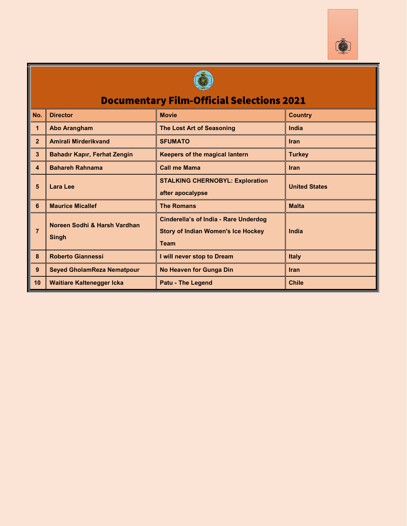



### **Documentary Film-Official Selections 2021**

| No.            | <b>Director</b>                     | <b>Movie</b>                                 | <b>Country</b>       |  |
|----------------|-------------------------------------|----------------------------------------------|----------------------|--|
| $\mathbf 1$    | <b>Abo Arangham</b>                 | The Lost Art of Seasoning                    | India                |  |
| $\overline{2}$ | Amirali Mirderikvand                | <b>SFUMATO</b>                               | <b>Iran</b>          |  |
| 3              | <b>Bahadır Kapır, Ferhat Zengin</b> | <b>Keepers of the magical lantern</b>        | <b>Turkey</b>        |  |
| 4              | <b>Bahareh Rahnama</b>              | <b>Call me Mama</b>                          | Iran                 |  |
| 5              | Lara Lee                            | <b>STALKING CHERNOBYL: Exploration</b>       | <b>United States</b> |  |
|                |                                     | after apocalypse                             |                      |  |
| 6              | <b>Maurice Micallef</b>             | <b>The Romans</b>                            | <b>Malta</b>         |  |
|                | Noreen Sodhi & Harsh Vardhan        | <b>Cinderella's of India - Rare Underdog</b> |                      |  |
| $\overline{7}$ | <b>Singh</b>                        | <b>Story of Indian Women's Ice Hockey</b>    | India                |  |
|                |                                     | <b>Team</b>                                  |                      |  |
| $\mathbf{8}$   | <b>Roberto Giannessi</b>            | I will never stop to Dream                   | <b>Italy</b>         |  |
| 9              | <b>Seyed GholamReza Nematpour</b>   | <b>No Heaven for Gunga Din</b><br>Iran       |                      |  |
| 10             | <b>Waitiare Kaltenegger Icka</b>    | <b>Patu - The Legend</b>                     | <b>Chile</b>         |  |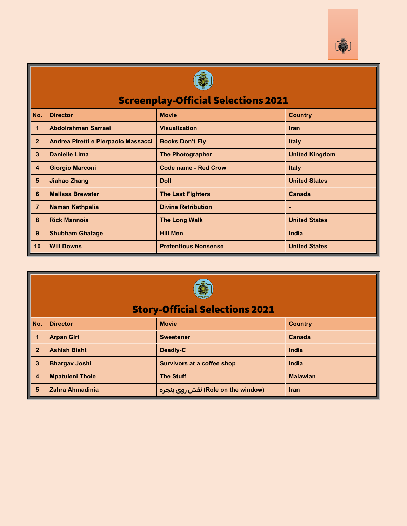



## Screenplay-Official Selections 2021

| No.                     | <b>Director</b><br><b>Movie</b>     |                                                  | <b>Country</b>       |
|-------------------------|-------------------------------------|--------------------------------------------------|----------------------|
| $\mathbf{1}$            | Abdolrahman Sarraei                 | <b>Visualization</b>                             | <b>Iran</b>          |
| $\overline{2}$          | Andrea Piretti e Pierpaolo Massacci | <b>Books Don't Fly</b>                           | <b>Italy</b>         |
| $\overline{3}$          | <b>Danielle Lima</b>                | <b>United Kingdom</b><br><b>The Photographer</b> |                      |
| $\overline{\mathbf{4}}$ | <b>Giorgio Marconi</b>              | <b>Code name - Red Crow</b>                      | <b>Italy</b>         |
| 5                       | Jiahao Zhang                        | <b>Doll</b>                                      | <b>United States</b> |
| 6                       | <b>Melissa Brewster</b>             | <b>The Last Fighters</b>                         | Canada               |
| $\overline{7}$          | <b>Naman Kathpalia</b>              | <b>Divine Retribution</b>                        |                      |
| 8                       | <b>Rick Mannoia</b>                 | <b>The Long Walk</b>                             | <b>United States</b> |
| 9                       | <b>Shubham Ghatage</b>              | <b>Hill Men</b>                                  | India                |
| 10                      | <b>Will Downs</b>                   | <b>Pretentious Nonsense</b>                      | <b>United States</b> |



### **Story-Official Selections 2021**

|   | No.   Director         | <b>Movie</b>                       | <b>Country</b>  |
|---|------------------------|------------------------------------|-----------------|
|   | <b>Arpan Giri</b>      | <b>Sweetener</b>                   | <b>Canada</b>   |
|   | <b>Ashish Bisht</b>    | Deadly-C                           | India           |
|   | <b>Bhargav Joshi</b>   | <b>Survivors at a coffee shop</b>  | India           |
| 4 | <b>Mpatuleni Thole</b> | <b>The Stuff</b>                   | <b>Malawian</b> |
|   | Zahra Ahmadinia        | (Role on the window) نقش روی پنجره | <b>Iran</b>     |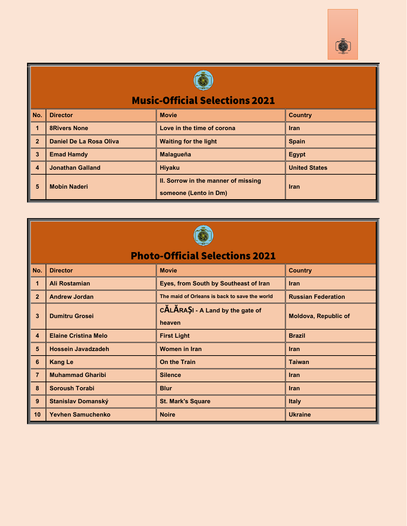



#### **Music-Official Selections 2021**

| No.          | <b>Director</b>         | <b>Movie</b>                                                 | <b>Country</b>       |  |  |
|--------------|-------------------------|--------------------------------------------------------------|----------------------|--|--|
|              | <b>8Rivers None</b>     | Love in the time of corona                                   | <b>Iran</b>          |  |  |
| $\mathbf{z}$ | Daniel De La Rosa Oliva | <b>Waiting for the light</b>                                 | <b>Spain</b>         |  |  |
| 3            | <b>Emad Hamdy</b>       | <b>Malagueña</b>                                             | <b>Egypt</b>         |  |  |
| 4            | <b>Jonathan Galland</b> | <b>Hiyaku</b>                                                | <b>United States</b> |  |  |
| 5            | <b>Mobin Naderi</b>     | II. Sorrow in the manner of missing<br>someone (Lento in Dm) | <b>Iran</b>          |  |  |



### **Photo-Official Selections 2021**

| No.            | <b>Director</b>             | <b>Movie</b>                                  | <b>Country</b>              |
|----------------|-----------------------------|-----------------------------------------------|-----------------------------|
| 1              | Ali Rostamian               | Eyes, from South by Southeast of Iran         | <b>Iran</b>                 |
| $\overline{2}$ | <b>Andrew Jordan</b>        | The maid of Orleans is back to save the world | <b>Russian Federation</b>   |
| 3              | <b>Dumitru Grosei</b>       | CALARASI - A Land by the gate of<br>heaven    | <b>Moldova, Republic of</b> |
| 4              | <b>Elaine Cristina Melo</b> | <b>First Light</b>                            | <b>Brazil</b>               |
| 5              | <b>Hossein Javadzadeh</b>   | <b>Women in Iran</b>                          | <b>Iran</b>                 |
| 6              | <b>Kang Le</b>              | <b>On the Train</b>                           | <b>Taiwan</b>               |
| $\overline{7}$ | <b>Muhammad Gharibi</b>     | <b>Silence</b>                                | <b>Iran</b>                 |
| 8              | <b>Soroush Torabi</b>       | <b>Blur</b>                                   | <b>Iran</b>                 |
| 9              | Stanislav Domanský          | <b>St. Mark's Square</b>                      | <b>Italy</b>                |
| 10             | <b>Yevhen Samuchenko</b>    | <b>Noire</b>                                  | <b>Ukraine</b>              |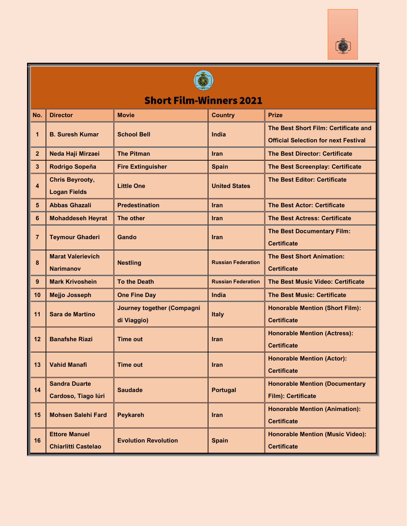



#### **Short Film-Winners 2021 No. Director Movie Country Prize The Best Short Film: Certificate and 1 B. Suresh Kumar School Bell India Official Selection for next Festival 2 Neda Haji Mirzaei The Pitman Iran The Best Director: Certificate 3 Rodrigo Sopeña Fire Extinguisher Spain The Best Screenplay: Certificate Chris Beyrooty, The Best Editor: Certificate Little One United States 4 Logan Fields 5 Abbas Ghazali Predestination Iran The Best Actor: Certificate 6 Mohaddeseh Heyrat The other Iran The Best Actress: Certificate The Best Documentary Film: 7 Teymour Ghaderi Gando Iran Certificate Marat Valerievich The Best Short Animation: 8 Nestling Russian Federation Narimanov Certificate 9 Mark Krivoshein To the Death Russian Federation The Best Music Video: Certificate 10 Mejjo Josseph One Fine Day India The Best Music: Certificate Journey together (Compagni Honorable Mention (Short Film): 11 Sara de Martino Italy di Viaggio) Certificate Honorable Mention (Actress): 12 Banafshe Riazi Time out Iran Certificate Honorable Mention (Actor): 13 Vahid Manafi Time out Iran Certificate Sandra Duarte Honorable Mention (Documentary 14 Saudade Portugal Cardoso, Tiago Iúri Film): Certificate Honorable Mention (Animation): 15 Mohsen Salehi Fard Peykareh Iran Certificate Ettore Manuel Honorable Mention (Music Video): 16 Evolution Revolution | Spain Chiarlitti Castelao Certificate**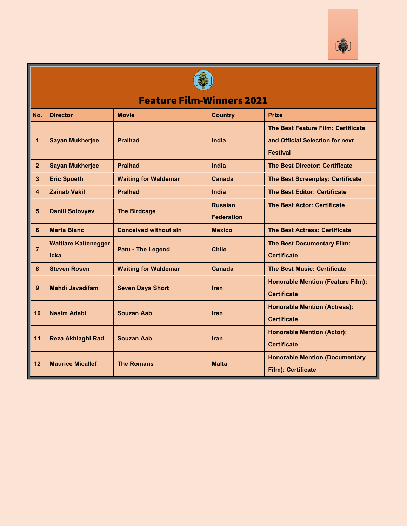



# Feature Film-Winners 2021

| No.                     | <b>Director</b>                     | <b>Movie</b>                 | <b>Country</b>                      | <b>Prize</b>                                                                             |
|-------------------------|-------------------------------------|------------------------------|-------------------------------------|------------------------------------------------------------------------------------------|
| 1                       | <b>Sayan Mukherjee</b>              | <b>Pralhad</b>               | India                               | The Best Feature Film: Certificate<br>and Official Selection for next<br><b>Festival</b> |
| $\overline{2}$          | <b>Sayan Mukherjee</b>              | <b>Pralhad</b>               | India                               | <b>The Best Director: Certificate</b>                                                    |
| $\mathbf{3}$            | <b>Eric Spoeth</b>                  | <b>Waiting for Waldemar</b>  | Canada                              | <b>The Best Screenplay: Certificate</b>                                                  |
| $\overline{\mathbf{4}}$ | <b>Zainab Vakil</b>                 | <b>Pralhad</b>               | India                               | <b>The Best Editor: Certificate</b>                                                      |
| 5                       | <b>Daniil Solovyev</b>              | <b>The Birdcage</b>          | <b>Russian</b><br><b>Federation</b> | <b>The Best Actor: Certificate</b>                                                       |
| 6                       | <b>Marta Blanc</b>                  | <b>Conceived without sin</b> | <b>Mexico</b>                       | <b>The Best Actress: Certificate</b>                                                     |
| $\overline{7}$          | <b>Waitiare Kaltenegger</b><br>Icka | <b>Patu - The Legend</b>     | <b>Chile</b>                        | <b>The Best Documentary Film:</b><br><b>Certificate</b>                                  |
| 8                       | <b>Steven Rosen</b>                 | <b>Waiting for Waldemar</b>  | <b>Canada</b>                       | <b>The Best Music: Certificate</b>                                                       |
| 9                       | <b>Mahdi Javadifam</b>              | <b>Seven Days Short</b>      | <b>Iran</b>                         | <b>Honorable Mention (Feature Film):</b><br><b>Certificate</b>                           |
| 10                      | <b>Nasim Adabi</b>                  | <b>Souzan Aab</b>            | <b>Iran</b>                         | <b>Honorable Mention (Actress):</b><br><b>Certificate</b>                                |
| 11                      | <b>Reza Akhlaghi Rad</b>            | <b>Souzan Aab</b>            | <b>Iran</b>                         | <b>Honorable Mention (Actor):</b><br><b>Certificate</b>                                  |
| 12                      | <b>Maurice Micallef</b>             | <b>The Romans</b>            | <b>Malta</b>                        | <b>Honorable Mention (Documentary</b><br>Film): Certificate                              |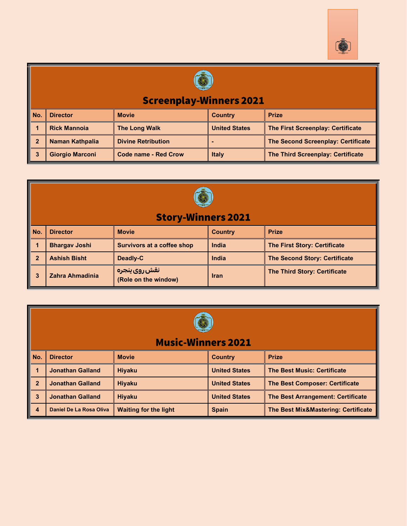



## **Screenplay-Winners 2021**

| No. | <b>Director</b>        | <b>Movie</b>                | Country              | <b>Prize</b>                             |
|-----|------------------------|-----------------------------|----------------------|------------------------------------------|
|     | <b>Rick Mannoja</b>    | <b>The Long Walk</b>        | <b>United States</b> | <b>The First Screenplay: Certificate</b> |
|     | <b>Naman Kathpalia</b> | <b>Divine Retribution</b>   |                      | The Second Screenplay: Certificate       |
|     | <b>Giorgio Marconi</b> | <b>Code name - Red Crow</b> | <b>Italy</b>         | <b>The Third Screenplay: Certificate</b> |

| <b>Story-Winners 2021</b> |                      |                                       |                |                                      |  |  |  |
|---------------------------|----------------------|---------------------------------------|----------------|--------------------------------------|--|--|--|
| No.                       | <b>Director</b>      | <b>Movie</b>                          | <b>Country</b> | <b>Prize</b>                         |  |  |  |
|                           | <b>Bhargav Joshi</b> | <b>Survivors at a coffee shop</b>     | India          | <b>The First Story: Certificate</b>  |  |  |  |
| $\overline{2}$            | <b>Ashish Bisht</b>  | Deadly-C                              | <b>India</b>   | <b>The Second Story: Certificate</b> |  |  |  |
| 3                         | Zahra Ahmadinia      | نقش روي پنجره<br>(Role on the window) | <b>Iran</b>    | <b>The Third Story: Certificate</b>  |  |  |  |



### **Music-Winners 2021**

| No.          | <b>Director</b>         | <b>Movie</b>                 | <b>Country</b>       | <b>Prize</b>                             |
|--------------|-------------------------|------------------------------|----------------------|------------------------------------------|
|              | <b>Jonathan Galland</b> | <b>Hiyaku</b>                | <b>United States</b> | <b>The Best Music: Certificate</b>       |
| $\mathbf{2}$ | <b>Jonathan Galland</b> | <b>Hivaku</b>                | <b>United States</b> | <b>The Best Composer: Certificate</b>    |
|              | <b>Jonathan Galland</b> | <b>Hivaku</b>                | <b>United States</b> | <b>The Best Arrangement: Certificate</b> |
| 4            | Daniel De La Rosa Oliva | <b>Waiting for the light</b> | <b>Spain</b>         | The Best Mix&Mastering: Certificate      |